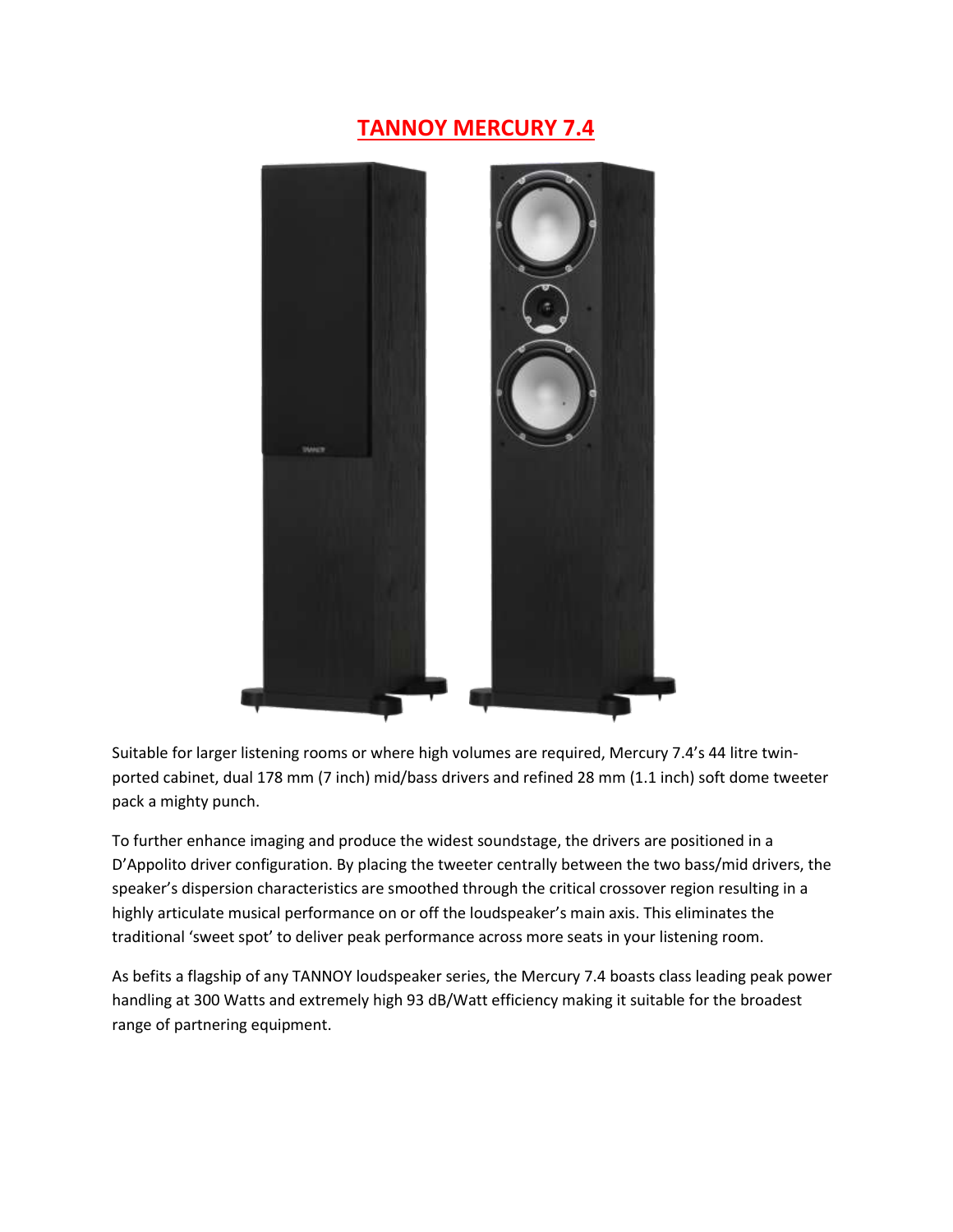## **TANNOY MERCURY 7.4**



Suitable for larger listening rooms or where high volumes are required, Mercury 7.4's 44 litre twinported cabinet, dual 178 mm (7 inch) mid/bass drivers and refined 28 mm (1.1 inch) soft dome tweeter pack a mighty punch.

To further enhance imaging and produce the widest soundstage, the drivers are positioned in a D'Appolito driver configuration. By placing the tweeter centrally between the two bass/mid drivers, the speaker's dispersion characteristics are smoothed through the critical crossover region resulting in a highly articulate musical performance on or off the loudspeaker's main axis. This eliminates the traditional 'sweet spot' to deliver peak performance across more seats in your listening room.

As befits a flagship of any TANNOY loudspeaker series, the Mercury 7.4 boasts class leading peak power handling at 300 Watts and extremely high 93 dB/Watt efficiency making it suitable for the broadest range of partnering equipment.